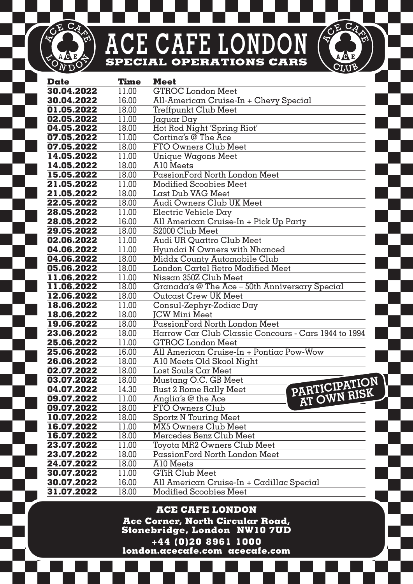## **ACE CAFE LONDON SPECIAL OPERATIONS CARS**

CE CA

Ō 'N RUE CA

| Date                     | Time           | Meet                                                            |
|--------------------------|----------------|-----------------------------------------------------------------|
| 30.04.2022               | 11.00          | <b>GTROC</b> London Meet                                        |
| 30.04.2022               | 16.00          | All-American Cruise-In + Chevy Special                          |
| 01.05.2022               | 18.00          | Treffpunkt Club Meet                                            |
| 02.05.2022               | 11.00          | Jaquar Day                                                      |
| 04.05.2022               | 18.00          | Hot Rod Night 'Spring Riot'                                     |
| 07.05.2022               | 11.00          | Cortina's @ The Ace                                             |
| 07.05.2022               | 18.00          | FTO Owners Club Meet                                            |
| 14.05.2022               | 11.00          | Unique Wagons Meet                                              |
| 14.05.2022               | 18.00          | A10 Meets                                                       |
| 15.05.2022               | 18.00          | PassionFord North London Meet                                   |
| 21.05.2022               | 11.00          | Modified Scoobies Meet                                          |
| 21.05.2022               | 18.00          | Last Dub VAG Meet                                               |
| 22.05.2022               | 18.00          | Audi Owners Club UK Meet                                        |
| 28.05.2022               | 11.00          | Electric Vehicle Day                                            |
| 28.05.2022               | 16.00          | All American Cruise-In + Pick Up Party                          |
| 29.05.2022               | 18.00          | S2000 Club Meet                                                 |
| 02.06.2022               | 11.00          | Audi UR Quattro Club Meet                                       |
| 04.06.2022               | 11.00          | Hyundai N Owners with Nhanced                                   |
| 04.06.2022               | 18.00          | Middx County Automobile Club                                    |
| 05.06.2022               | 18.00          | London Cartel Retro Modified Meet                               |
| 11.06.2022               | 11.00          | Nissan 350Z Club Meet                                           |
| 11.06.2022               | 18.00          | Granada's @ The Ace - 50th Anniversary Special                  |
| 12.06.2022               | 18.00          | Outcast Crew UK Meet                                            |
| 18.06.2022               | 11.00          | Consul-Zephyr-Zodiac Day                                        |
| 18.06.2022               | 18.00          | <b>ICW Mini Meet</b>                                            |
| 19.06.2022               | 18.00          | PassionFord North London Meet                                   |
| 23.06.2022               | 18.00          | Harrow Car Club Classic Concours - Cars 1944 to 1994            |
| 25.06.2022               | 11.00          | <b>GTROC London Meet</b>                                        |
| 25.06.2022               | 16.00          | All American Cruise-In + Pontiac Pow-Wow                        |
| 26.06.2022               | 18.00<br>18.00 | Al0 Meets Old Skool Night<br>Lost Souls Car Meet                |
| 02.07.2022<br>03.07.2022 | 18.00          |                                                                 |
| 04.07.2022               | 14.30          | Mustang O.C. GB Meet<br>PARTICIPATION<br>Rust 2 Rome Rally Meet |
| 09.07.2022               | 11.00          | <b>AT OWN RISK</b><br>Anglia's @ the Ace                        |
| 09.07.2022               | 18.00          | FTO Owners Club                                                 |
| 10.07.2022               | 18.00          | <b>Sportz N Touring Meet</b>                                    |
| 16.07.2022               | 11.00          | <b>MX5 Owners Club Meet</b>                                     |
| 16.07.2022               | 18.00          | Mercedes Benz Club Meet                                         |
| 23.07.2022               | 11.00          | Toyota MR2 Owners Club Meet                                     |
| 23.07.2022               | 18.00          | PassionFord North London Meet                                   |
| 24.07.2022               | 18.00          | A10 Meets                                                       |
| 30.07.2022               | 11.00          | <b>GTiR Club Meet</b>                                           |
| 30.07.2022               | 16.00          | All American Cruise-In + Cadillac Special                       |
| 31.07.2022               | 18.00          | <b>Modified Scoobies Meet</b>                                   |

**ACE CAFE LONDON Ace Corner, North Circular Road, Stonebridge, London NW10 7UD +44 (0)20 8961 1000 london.acecafe.com acecafe.com**